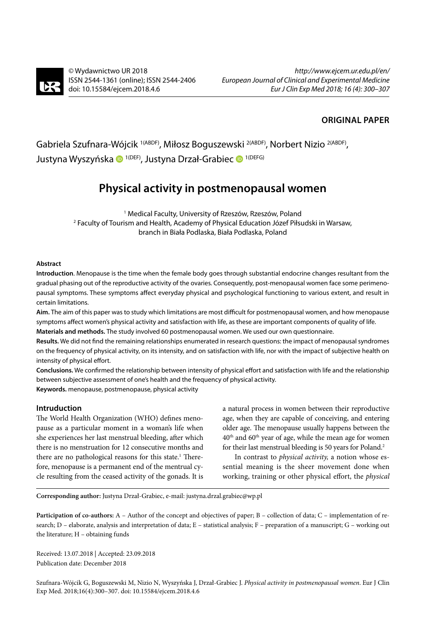

© Wydawnictwo UR 2018 ISSN 2544-1361 (online); ISSN 2544-2406 [doi: 10.15584/ejcem.2018.4.6](http://dx.doi.org/10.15584/ejcem.2018.4.6)

## **ORIGINAL PAPER**

Gabriela Szufnara-Wójcik<sup>1(ABDF)</sup>, Miłosz Boguszewski <sup>2(ABDF)</sup>, Norbert Nizio <sup>2(ABDF)</sup>, JustynaWyszyńska <sup>10 1 (DEF)</sup>, Justyna Drzał-Grabiec <sup>10 1 (DEFG)</sup>

# **Physical activity in postmenopausal women**

1 Medical Faculty, University of Rzeszów, Rzeszów, Poland 2 Faculty of Tourism and Health, Academy of Physical Education Józef Piłsudski in Warsaw, branch in Biała Podlaska, Biała Podlaska, Poland

## **Abstract**

**Introduction**. Menopause is the time when the female body goes through substantial endocrine changes resultant from the gradual phasing out of the reproductive activity of the ovaries. Consequently, post-menopausal women face some perimenopausal symptoms. These symptoms affect everyday physical and psychological functioning to various extent, and result in certain limitations.

**Aim.** The aim of this paper was to study which limitations are most difficult for postmenopausal women, and how menopause symptoms affect women's physical activity and satisfaction with life, as these are important components of quality of life.

**Materials and methods.** The study involved 60 postmenopausal women. We used our own questionnaire.

**Results.** We did not find the remaining relationships enumerated in research questions: the impact of menopausal syndromes on the frequency of physical activity, on its intensity, and on satisfaction with life, nor with the impact of subjective health on intensity of physical effort.

**Conclusions.** We confirmed the relationship between intensity of physical effort and satisfaction with life and the relationship between subjective assessment of one's health and the frequency of physical activity. **Keywords.** menopause, postmenopause, physical activity

### **Intruduction**

The World Health Organization (WHO) defines menopause as a particular moment in a woman's life when she experiences her last menstrual bleeding, after which there is no menstruation for 12 consecutive months and there are no pathological reasons for this state.<sup>1</sup> Therefore, menopause is a permanent end of the mentrual cycle resulting from the ceased activity of the gonads. It is a natural process in women between their reproductive age, when they are capable of conceiving, and entering older age. The menopause usually happens between the 40th and 60th year of age, while the mean age for women for their last menstrual bleeding is 50 years for Poland.<sup>2</sup>

In contrast to *physical activity,* a notion whose essential meaning is the sheer movement done when working, training or other physical effort, the *physical* 

**Corresponding author:** Justyna Drzał-Grabiec, e-mail: [justyna.drzal.grabiec@wp.pl](mailto:justyna.drzal.grabiec%40wp.pl?subject=)

**Participation of co-authors:** A – Author of the concept and objectives of paper; B – collection of data; C – implementation of research; D – elaborate, analysis and interpretation of data; E – statistical analysis; F – preparation of a manuscript; G – working out the literature; H – obtaining funds

Received: 13.07.2018 | Accepted: 23.09.2018 Publication date: December 2018

Szufnara-Wójcik G, Boguszewski M, Nizio N, Wyszyńska J, Drzał-Grabiec J. *Physical activity in postmenopausal women*. Eur J Clin Exp Med. 2018;16(4):300–307. doi: 10.15584/ejcem.2018.4.6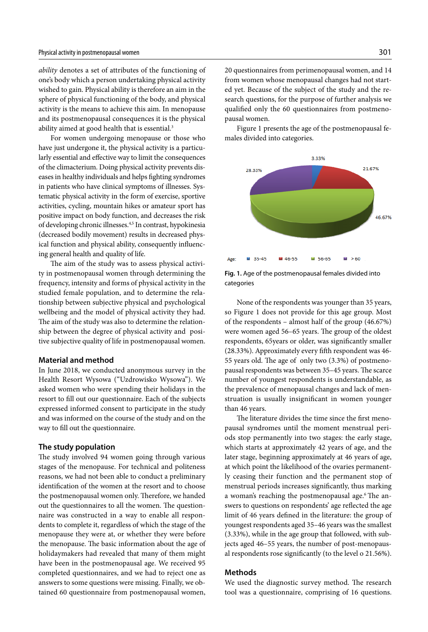*ability* denotes a set of attributes of the functioning of one's body which a person undertaking physical activity wished to gain. Physical ability is therefore an aim in the sphere of physical functioning of the body, and physical activity is the means to achieve this aim. In menopause and its postmenopausal consequences it is the physical ability aimed at good health that is essential.<sup>3</sup>

For women undergoing menopause or those who have just undergone it, the physical activity is a particularly essential and effective way to limit the consequences of the climacterium. Doing physical activity prevents diseases in healthy individuals and helps fighting syndromes in patients who have clinical symptoms of illnesses. Systematic physical activity in the form of exercise, sportive activities, cycling, mountain hikes or amateur sport has positive impact on body function, and decreases the risk of developing chronic illnesses.4,5 In contrast, hypokinesia (decreased bodily movement) results in decreased physical function and physical ability, consequently influencing general health and quality of life.

The aim of the study was to assess physical activity in postmenopausal women through determining the frequency, intensity and forms of physical activity in the studied female population, and to determine the relationship between subjective physical and psychological wellbeing and the model of physical activity they had. The aim of the study was also to determine the relationship between the degree of physical activity and positive subjective quality of life in postmenopausal women.

#### **Material and method**

In June 2018, we conducted anonymous survey in the Health Resort Wysowa ("Uzdrowisko Wysowa"). We asked women who were spending their holidays in the resort to fill out our questionnaire. Each of the subjects expressed informed consent to participate in the study and was informed on the course of the study and on the way to fill out the questionnaire.

#### **The study population**

The study involved 94 women going through various stages of the menopause. For technical and politeness reasons, we had not been able to conduct a preliminary identification of the women at the resort and to choose the postmenopausal women only. Therefore, we handed out the questionnaires to all the women. The questionnaire was constructed in a way to enable all respondents to complete it, regardless of which the stage of the menopause they were at, or whether they were before the menopause. The basic information about the age of holidaymakers had revealed that many of them might have been in the postmenopausal age. We received 95 completed questionnaires, and we had to reject one as answers to some questions were missing. Finally, we obtained 60 questionnaire from postmenopausal women,

20 questionnaires from perimenopausal women, and 14 from women whose menopausal changes had not started yet. Because of the subject of the study and the research questions, for the purpose of further analysis we qualified only the 60 questionnaires from postmenopausal women.

Figure 1 presents the age of the postmenopausal females divided into categories.



**Fig. 1.** Age of the postmenopausal females divided into categories

None of the respondents was younger than 35 years, so Figure 1 does not provide for this age group. Most of the respondents – almost half of the group (46.67%) were women aged 56–65 years. The group of the oldest respondents, 65years or older, was significantly smaller (28.33%). Approximately every fifth respondent was 46- 55 years old. The age of only two (3.3%) of postmenopausal respondents was between 35–45 years. The scarce number of youngest respondents is understandable, as the prevalence of menopausal changes and lack of menstruation is usually insignificant in women younger than 46 years.

The literature divides the time since the first menopausal syndromes until the moment menstrual periods stop permanently into two stages: the early stage, which starts at approximately 42 years of age, and the later stage, beginning approximately at 46 years of age, at which point the likelihood of the ovaries permanently ceasing their function and the permanent stop of menstrual periods increases significantly, thus marking a woman's reaching the postmenopausal age.<sup>6</sup> The answers to questions on respondents' age reflected the age limit of 46 years defined in the literature: the group of youngest respondents aged 35–46 years was the smallest (3.33%), while in the age group that followed, with subjects aged 46–55 years, the number of post-menopausal respondents rose significantly (to the level o 21.56%).

#### **Methods**

We used the diagnostic survey method. The research tool was a questionnaire, comprising of 16 questions.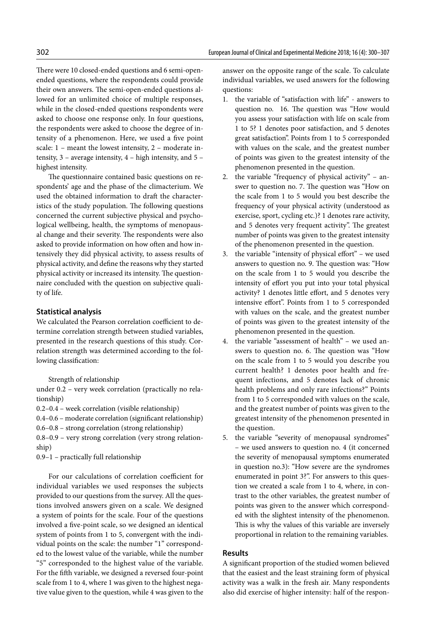There were 10 closed-ended questions and 6 semi-openended questions, where the respondents could provide their own answers. The semi-open-ended questions allowed for an unlimited choice of multiple responses, while in the closed-ended questions respondents were asked to choose one response only. In four questions, the respondents were asked to choose the degree of intensity of a phenomenon. Here, we used a five point scale: 1 – meant the lowest intensity, 2 – moderate intensity, 3 – average intensity, 4 – high intensity, and 5 – highest intensity.

The questionnaire contained basic questions on respondents' age and the phase of the climacterium. We used the obtained information to draft the characteristics of the study population. The following questions concerned the current subjective physical and psychological wellbeing, health, the symptoms of menopausal change and their severity. The respondents were also asked to provide information on how often and how intensively they did physical activity, to assess results of physical activity, and define the reasons why they started physical activity or increased its intensity. The questionnaire concluded with the question on subjective quality of life.

#### **Statistical analysis**

We calculated the Pearson correlation coefficient to determine correlation strength between studied variables, presented in the research questions of this study. Correlation strength was determined according to the following classification:

Strength of relationship

under 0.2 – very week correlation (practically no relationship)

0.2–0.4 – week correlation (visible relationship)

0.4–0.6 – moderate correlation (significant relationship)

0.6–0.8 – strong correlation (strong relationship)

0.8–0.9 – very strong correlation (very strong relationship)

0.9–1 – practically full relationship

For our calculations of correlation coefficient for individual variables we used responses the subjects provided to our questions from the survey. All the questions involved answers given on a scale. We designed a system of points for the scale. Four of the questions involved a five-point scale, so we designed an identical system of points from 1 to 5, convergent with the individual points on the scale: the number "1" corresponded to the lowest value of the variable, while the number "5" corresponded to the highest value of the variable. For the fifth variable, we designed a reversed four-point scale from 1 to 4, where 1 was given to the highest negative value given to the question, while 4 was given to the answer on the opposite range of the scale. To calculate individual variables, we used answers for the following questions:

- 1. the variable of "satisfaction with life" answers to question no. 16. The question was "How would you assess your satisfaction with life on scale from 1 to 5? 1 denotes poor satisfaction, and 5 denotes great satisfaction". Points from 1 to 5 corresponded with values on the scale, and the greatest number of points was given to the greatest intensity of the phenomenon presented in the question.
- 2. the variable "frequency of physical activity" answer to question no. 7. The question was "How on the scale from 1 to 5 would you best describe the frequency of your physical activity (understood as exercise, sport, cycling etc.)? 1 denotes rare activity, and 5 denotes very frequent activity". The greatest number of points was given to the greatest intensity of the phenomenon presented in the question.
- 3. the variable "intensity of physical effort" we used answers to question no. 9. The question was: "How on the scale from 1 to 5 would you describe the intensity of effort you put into your total physical activity? 1 denotes little effort, and 5 denotes very intensive effort". Points from 1 to 5 corresponded with values on the scale, and the greatest number of points was given to the greatest intensity of the phenomenon presented in the question.
- 4. the variable "assessment of health" we used answers to question no. 6. The question was "How on the scale from 1 to 5 would you describe you current health? 1 denotes poor health and frequent infections, and 5 denotes lack of chronic health problems and only rare infections?" Points from 1 to 5 corresponded with values on the scale, and the greatest number of points was given to the greatest intensity of the phenomenon presented in the question.
- 5. the variable "severity of menopausal syndromes" – we used answers to question no. 4 (it concerned the severity of menopausal symptoms enumerated in question no.3): "How severe are the syndromes enumerated in point 3?". For answers to this question we created a scale from 1 to 4, where, in contrast to the other variables, the greatest number of points was given to the answer which corresponded with the slightest intensity of the phenomenon. This is why the values of this variable are inversely proportional in relation to the remaining variables.

#### **Results**

A significant proportion of the studied women believed that the easiest and the least straining form of physical activity was a walk in the fresh air. Many respondents also did exercise of higher intensity: half of the respon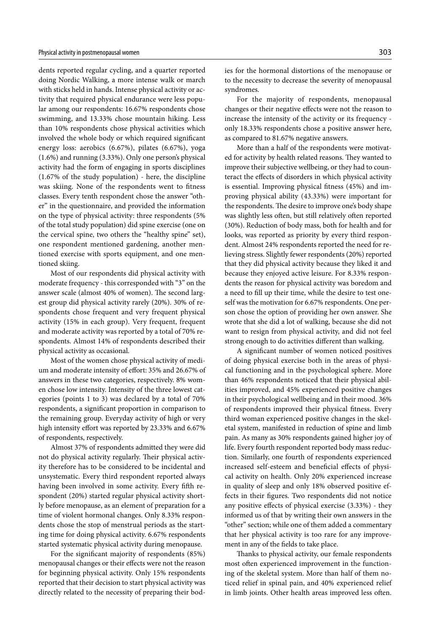dents reported regular cycling, and a quarter reported doing Nordic Walking, a more intense walk or march with sticks held in hands. Intense physical activity or activity that required physical endurance were less popular among our respondents: 16.67% respondents chose swimming, and 13.33% chose mountain hiking. Less than 10% respondents chose physical activities which involved the whole body or which required significant energy loss: aerobics (6.67%), pilates (6.67%), yoga (1.6%) and running (3.33%). Only one person's physical activity had the form of engaging in sports disciplines (1.67% of the study population) - here, the discipline was skiing. None of the respondents went to fitness classes. Every tenth respondent chose the answer "other" in the questionnaire, and provided the information on the type of physical activity: three respondents (5% of the total study population) did spine exercise (one on the cervical spine, two others the "healthy spine" set), one respondent mentioned gardening, another mentioned exercise with sports equipment, and one mentioned skiing.

Most of our respondents did physical activity with moderate frequency - this corresponded with "3" on the answer scale (almost 40% of women). The second largest group did physical activity rarely (20%). 30% of respondents chose frequent and very frequent physical activity (15% in each group). Very frequent, frequent and moderate activity was reported by a total of 70% respondents. Almost 14% of respondents described their physical activity as occasional.

Most of the women chose physical activity of medium and moderate intensity of effort: 35% and 26.67% of answers in these two categories, respectively. 8% women chose low intensity. Intensity of the three lowest categories (points 1 to 3) was declared by a total of 70% respondents, a significant proportion in comparison to the remaining group. Everyday activity of high or very high intensity effort was reported by 23.33% and 6.67% of respondents, respectively.

Almost 37% of respondents admitted they were did not do physical activity regularly. Their physical activity therefore has to be considered to be incidental and unsystematic. Every third respondent reported always having been involved in some activity. Every fifth respondent (20%) started regular physical activity shortly before menopause, as an element of preparation for a time of violent hormonal changes. Only 8.33% respondents chose the stop of menstrual periods as the starting time for doing physical activity. 6.67% respondents started systematic physical activity during menopause.

For the significant majority of respondents (85%) menopausal changes or their effects were not the reason for beginning physical activity. Only 15% respondents reported that their decision to start physical activity was directly related to the necessity of preparing their bodies for the hormonal distortions of the menopause or to the necessity to decrease the severity of menopausal syndromes.

For the majority of respondents, menopausal changes or their negative effects were not the reason to increase the intensity of the activity or its frequency only 18.33% respondents chose a positive answer here, as compared to 81.67% negative answers.

More than a half of the respondents were motivated for activity by health related reasons. They wanted to improve their subjective wellbeing, or they had to counteract the effects of disorders in which physical activity is essential. Improving physical fitness (45%) and improving physical ability (43.33%) were important for the respondents. The desire to improve one's body shape was slightly less often, but still relatively often reported (30%). Reduction of body mass, both for health and for looks, was reported as priority by every third respondent. Almost 24% respondents reported the need for relieving stress. Slightly fewer respondents (20%) reported that they did physical activity because they liked it and because they enjoyed active leisure. For 8.33% respondents the reason for physical activity was boredom and a need to fill up their time, while the desire to test oneself was the motivation for 6.67% respondents. One person chose the option of providing her own answer. She wrote that she did a lot of walking, because she did not want to resign from physical activity, and did not feel strong enough to do activities different than walking.

A significant number of women noticed positives of doing physical exercise both in the areas of physical functioning and in the psychological sphere. More than 46% respondents noticed that their physical abilities improved, and 45% experienced positive changes in their psychological wellbeing and in their mood. 36% of respondents improved their physical fitness. Every third woman experienced positive changes in the skeletal system, manifested in reduction of spine and limb pain. As many as 30% respondents gained higher joy of life. Every fourth respondent reported body mass reduction. Similarly, one fourth of respondents experienced increased self-esteem and beneficial effects of physical activity on health. Only 20% experienced increase in quality of sleep and only 18% observed positive effects in their figures. Two respondents did not notice any positive effects of physical exercise (3.33%) - they informed us of that by writing their own answers in the "other" section; while one of them added a commentary that her physical activity is too rare for any improvement in any of the fields to take place.

Thanks to physical activity, our female respondents most often experienced improvement in the functioning of the skeletal system. More than half of them noticed relief in spinal pain, and 40% experienced relief in limb joints. Other health areas improved less often.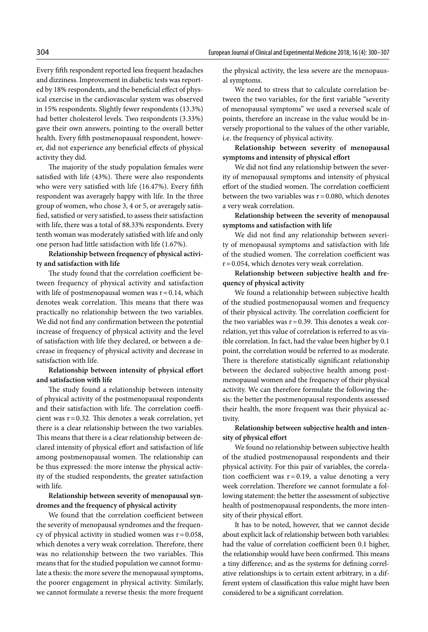Every fifth respondent reported less frequent headaches and dizziness. Improvement in diabetic tests was reported by 18% respondents, and the beneficial effect of physical exercise in the cardiovascular system was observed in 15% respondents. Slightly fewer respondents (13.3%) had better cholesterol levels. Two respondents (3.33%) gave their own answers, pointing to the overall better health. Every fifth postmenopausal respondent, however, did not experience any beneficial effects of physical activity they did.

The majority of the study population females were satisfied with life (43%). There were also respondents who were very satisfied with life (16.47%). Every fifth respondent was averagely happy with life. In the three group of women, who chose 3, 4 or 5, or averagely satisfied, satisfied or very satisfied, to assess their satisfaction with life, there was a total of 88.33% respondents. Every tenth woman was moderately satisfied with life and only one person had little satisfaction with life (1.67%).

**Relationship between frequency of physical activity and satisfaction with life**

The study found that the correlation coefficient between frequency of physical activity and satisfaction with life of postmenopausal women was  $r = 0.14$ , which denotes weak correlation. This means that there was practically no relationship between the two variables. We did not find any confirmation between the potential increase of frequency of physical activity and the level of satisfaction with life they declared, or between a decrease in frequency of physical activity and decrease in satisfaction with life.

**Relationship between intensity of physical effort and satisfaction with life**

The study found a relationship between intensity of physical activity of the postmenopausal respondents and their satisfaction with life. The correlation coefficient was  $r = 0.32$ . This denotes a weak correlation, yet there is a clear relationship between the two variables. This means that there is a clear relationship between declared intensity of physical effort and satisfaction of life among postmenopausal women. The relationship can be thus expressed: the more intense the physical activity of the studied respondents, the greater satisfaction with life.

**Relationship between severity of menopausal syndromes and the frequency of physical activity**

We found that the correlation coefficient between the severity of menopausal syndromes and the frequency of physical activity in studied women was  $r = 0.058$ , which denotes a very weak correlation. Therefore, there was no relationship between the two variables. This means that for the studied population we cannot formulate a thesis: the more severe the menopausal symptoms, the poorer engagement in physical activity. Similarly, we cannot formulate a reverse thesis: the more frequent the physical activity, the less severe are the menopausal symptoms.

We need to stress that to calculate correlation between the two variables, for the first variable "severity of menopausal symptoms" we used a reversed scale of points, therefore an increase in the value would be inversely proportional to the values of the other variable, i.e. the frequency of physical activity.

**Relationship between severity of menopausal symptoms and intensity of physical effort** 

We did not find any relationship between the severity of menopausal symptoms and intensity of physical effort of the studied women. The correlation coefficient between the two variables was  $r = 0.080$ , which denotes a very weak correlation.

**Relationship between the severity of menopausal symptoms and satisfaction with life**

We did not find any relationship between severity of menopausal symptoms and satisfaction with life of the studied women. The correlation coefficient was  $r=0.054$ , which denotes very weak correlation.

**Relationship between subjective health and frequency of physical activity**

We found a relationship between subjective health of the studied postmenopausal women and frequency of their physical activity. The correlation coefficient for the two variables was  $r = 0.39$ . This denotes a weak correlation, yet this value of correlation is referred to as visible correlation. In fact, had the value been higher by 0.1 point, the correlation would be referred to as moderate. There is therefore statistically significant relationship between the declared subjective health among postmenopausal women and the frequency of their physical activity. We can therefore formulate the following thesis: the better the postmenopausal respondents assessed their health, the more frequent was their physical activity.

**Relationship between subjective health and intensity of physical effort**

We found no relationship between subjective health of the studied postmenopausal respondents and their physical activity. For this pair of variables, the correlation coefficient was  $r=0.19$ , a value denoting a very week correlation. Therefore we cannot formulate a following statement: the better the assessment of subjective health of postmenopausal respondents, the more intensity of their physical effort.

It has to be noted, however, that we cannot decide about explicit lack of relationship between both variables: had the value of correlation coefficient been 0.1 higher, the relationship would have been confirmed. This means a tiny difference; and as the systems for defining correlative relationships is to certain extent arbitrary, in a different system of classification this value might have been considered to be a significant correlation.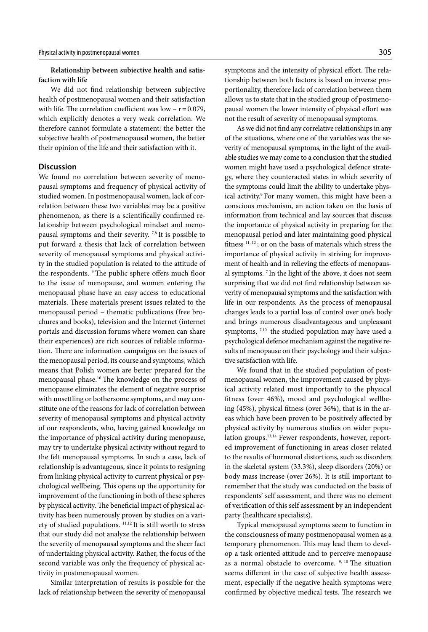**Relationship between subjective health and satisfaction with life**

We did not find relationship between subjective health of postmenopausal women and their satisfaction with life. The correlation coefficient was low  $- r = 0.079$ , which explicitly denotes a very weak correlation. We therefore cannot formulate a statement: the better the subjective health of postmenopausal women, the better their opinion of the life and their satisfaction with it.

## **Discussion**

We found no correlation between severity of menopausal symptoms and frequency of physical activity of studied women. In postmenopausal women, lack of correlation between these two variables may be a positive phenomenon, as there is a scientifically confirmed relationship between psychological mindset and menopausal symptoms and their severity. 7,8 It is possible to put forward a thesis that lack of correlation between severity of menopausal symptoms and physical activity in the studied population is related to the attitude of the respondents. 9 The public sphere offers much floor to the issue of menopause, and women entering the menopausal phase have an easy access to educational materials. These materials present issues related to the menopausal period – thematic publications (free brochures and books), television and the Internet (internet portals and discussion forums where women can share their experiences) are rich sources of reliable information. There are information campaigns on the issues of the menopausal period, its course and symptoms, which means that Polish women are better prepared for the menopausal phase.10 The knowledge on the process of menopause eliminates the element of negative surprise with unsettling or bothersome symptoms, and may constitute one of the reasons for lack of correlation between severity of menopausal symptoms and physical activity of our respondents, who, having gained knowledge on the importance of physical activity during menopause, may try to undertake physical activity without regard to the felt menopausal symptoms. In such a case, lack of relationship is advantageous, since it points to resigning from linking physical activity to current physical or psychological wellbeing. This opens up the opportunity for improvement of the functioning in both of these spheres by physical activity. The beneficial impact of physical activity has been numerously proven by studies on a variety of studied populations. 11,12 It is still worth to stress that our study did not analyze the relationship between the severity of menopausal symptoms and the sheer fact of undertaking physical activity. Rather, the focus of the second variable was only the frequency of physical activity in postmenopausal women.

Similar interpretation of results is possible for the lack of relationship between the severity of menopausal symptoms and the intensity of physical effort. The relationship between both factors is based on inverse proportionality, therefore lack of correlation between them allows us to state that in the studied group of postmenopausal women the lower intensity of physical effort was not the result of severity of menopausal symptoms.

As we did not find any correlative relationships in any of the situations, where one of the variables was the severity of menopausal symptoms, in the light of the available studies we may come to a conclusion that the studied women might have used a psychological defence strategy, where they counteracted states in which severity of the symptoms could limit the ability to undertake physical activity.<sup>9</sup> For many women, this might have been a conscious mechanism, an action taken on the basis of information from technical and lay sources that discuss the importance of physical activity in preparing for the menopausal period and later maintaining good physical fitness 11, 12 ; or on the basis of materials which stress the importance of physical activity in striving for improvement of health and in relieving the effects of menopausal symptoms. 7 In the light of the above, it does not seem surprising that we did not find relationship between severity of menopausal symptoms and the satisfaction with life in our respondents. As the process of menopausal changes leads to a partial loss of control over one's body and brings numerous disadvantageous and unpleasant symptoms,  $7,10$  the studied population may have used a psychological defence mechanism against the negative results of menopause on their psychology and their subjective satisfaction with life.

We found that in the studied population of postmenopausal women, the improvement caused by physical activity related most importantly to the physical fitness (over 46%), mood and psychological wellbeing (45%), physical fitness (over 36%), that is in the areas which have been proven to be positively affected by physical activity by numerous studies on wider population groups.13,14 Fewer respondents, however, reported improvement of functioning in areas closer related to the results of hormonal distortions, such as disorders in the skeletal system (33.3%), sleep disorders (20%) or body mass increase (over 26%). It is still important to remember that the study was conducted on the basis of respondents' self assessment, and there was no element of verification of this self assessment by an independent party (healthcare specialists).

Typical menopausal symptoms seem to function in the consciousness of many postmenopausal women as a temporary phenomenon. This may lead them to develop a task oriented attitude and to perceive menopause as a normal obstacle to overcome. <sup>9, 10</sup> The situation seems different in the case of subjective health assessment, especially if the negative health symptoms were confirmed by objective medical tests. The research we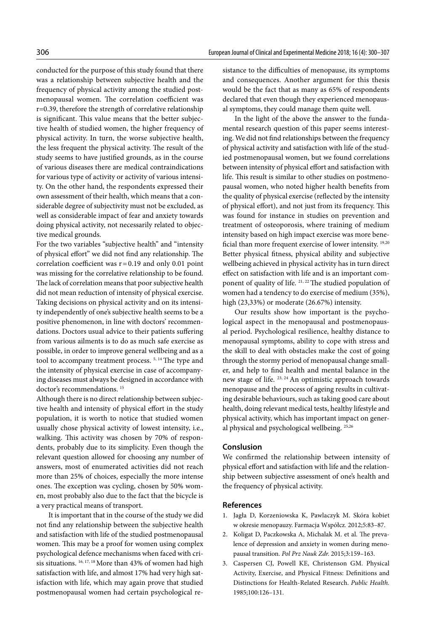conducted for the purpose of this study found that there was a relationship between subjective health and the frequency of physical activity among the studied postmenopausal women. The correlation coefficient was r=0.39, therefore the strength of correlative relationship is significant. This value means that the better subjective health of studied women, the higher frequency of physical activity. In turn, the worse subjective health, the less frequent the physical activity. The result of the study seems to have justified grounds, as in the course of various diseases there are medical contraindications for various type of activity or activity of various intensity. On the other hand, the respondents expressed their own assessment of their health, which means that a considerable degree of subjectivity must not be excluded, as well as considerable impact of fear and anxiety towards doing physical activity, not necessarily related to objective medical grounds.

For the two variables "subjective health" and "intensity of physical effort" we did not find any relationship. The correlation coefficient was  $r = 0.19$  and only 0.01 point was missing for the correlative relationship to be found. The lack of correlation means that poor subjective health did not mean reduction of intensity of physical exercise. Taking decisions on physical activity and on its intensity independently of one's subjective health seems to be a positive phenomenon, in line with doctors' recommendations. Doctors usual advice to their patients suffering from various ailments is to do as much safe exercise as possible, in order to improve general wellbeing and as a tool to accompany treatment process.<sup>5, 14</sup> The type and the intensity of physical exercise in case of accompanying diseases must always be designed in accordance with doctor's recommendations. 15

Although there is no direct relationship between subjective health and intensity of physical effort in the study population, it is worth to notice that studied women usually chose physical activity of lowest intensity, i.e., walking. This activity was chosen by 70% of respondents, probably due to its simplicity. Even though the relevant question allowed for choosing any number of answers, most of enumerated activities did not reach more than 25% of choices, especially the more intense ones. The exception was cycling, chosen by 50% women, most probably also due to the fact that the bicycle is a very practical means of transport.

It is important that in the course of the study we did not find any relationship between the subjective health and satisfaction with life of the studied postmenopausal women. This may be a proof for women using complex psychological defence mechanisms when faced with crisis situations. 16, 17, 18 More than 43% of women had high satisfaction with life, and almost 17% had very high satisfaction with life, which may again prove that studied postmenopausal women had certain psychological resistance to the difficulties of menopause, its symptoms and consequences. Another argument for this thesis would be the fact that as many as 65% of respondents declared that even though they experienced menopausal symptoms, they could manage them quite well.

In the light of the above the answer to the fundamental research question of this paper seems interesting. We did not find relationships between the frequency of physical activity and satisfaction with life of the studied postmenopausal women, but we found correlations between intensity of physical effort and satisfaction with life. This result is similar to other studies on postmenopausal women, who noted higher health benefits from the quality of physical exercise (reflected by the intensity of physical effort), and not just from its frequency. This was found for instance in studies on prevention and treatment of osteoporosis, where training of medium intensity based on high impact exercise was more beneficial than more frequent exercise of lower intensity. 19,20 Better physical fitness, physical ability and subjective wellbeing achieved in physical activity has in turn direct effect on satisfaction with life and is an important component of quality of life. <sup>21, 22</sup> The studied population of women had a tendency to do exercise of medium (35%), high (23,33%) or moderate (26.67%) intensity.

Our results show how important is the psychological aspect in the menopausal and postmenopausal period. Psychological resilience, healthy distance to menopausal symptoms, ability to cope with stress and the skill to deal with obstacles make the cost of going through the stormy period of menopausal change smaller, and help to find health and mental balance in the new stage of life. <sup>23, 24</sup> An optimistic approach towards menopause and the process of ageing results in cultivating desirable behaviours, such as taking good care about health, doing relevant medical tests, healthy lifestyle and physical activity, which has important impact on general physical and psychological wellbeing. 25,26

## **Conslusion**

We confirmed the relationship between intensity of physical effort and satisfaction with life and the relationship between subjective assessment of one's health and the frequency of physical activity.

#### **References**

- 1. Jagła D, Korzeniowska K, Pawlaczyk M. Skóra kobiet w okresie menopauzy. Farmacja Współcz*.* 2012;5:83–87.
- 2. Koligat D, Paczkowska A, Michalak M. et al. The prevalence of depression and anxiety in women during menopausal transition. *Pol Prz Nauk Zdr.* 2015;3:159–163.
- 3. Caspersen CJ, Powell KE, Christenson GM. Physical Activity, Exercise, and Physical Fitness: Definitions and Distinctions for Health-Related Research. *Public Health.* 1985;100:126–131.